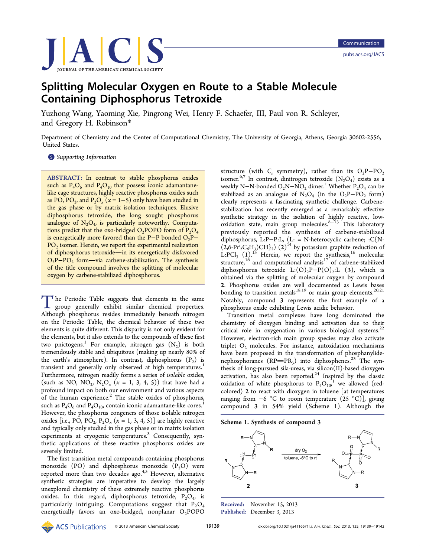

# Splitting Molecular Oxygen en Route to a Stable Molecule Containing Diphosphorus Tetroxide

Yuzhong Wang, Yaoming Xie, Pingrong Wei, Henry F. Schaefer, III, Paul von R. Schleyer, and Gregory H. Robinson[\\*](#page-2-0)

Department of Chemistry and the Center of Computational Chemistry, The University of Georgia, Athens, Georgia 30602-2556, United States.

**S** [Supporting Information](#page-2-0)

ABSTRACT: In contrast to stable phosphorus oxides such as  $P_4O_6$  and  $P_4O_{10}$  that possess iconic adamantanelike cage structures, highly reactive phosphorus oxides such as PO, PO<sub>2</sub>, and P<sub>2</sub>O<sub>x</sub> ( $x = 1-5$ ) only have been studied in the gas phase or by matrix isolation techniques. Elusive diphosphorus tetroxide, the long sought phosphorus analogue of  $N_2O_4$ , is particularly noteworthy. Computations predict that the oxo-bridged  $O_2$ POPO form of  $P_2O_4$ is energetically more favored than the P-P bonded  $O_2P PO<sub>2</sub>$  isomer. Herein, we report the experimental realization of diphosphorus tetroxide-in its energetically disfavored  $O<sub>2</sub>P-PO<sub>2</sub>$  form—via carbene-stabilization. The synthesis of the title compound involves the splitting of molecular oxygen by carbene-stabilized diphosphorus.

The Periodic Table suggests that elements in the same<br>group generally exhibit similar chemical properties.<br>Although phoephorus resides immediately beneath pitrogen Although phosphorus resides immediately beneath nitrogen on the Periodic Table, the chemical behavior of these two elements is quite different. This disparity is not only evident for the elements, but it also extends to the compounds of these first two pnictogens.<sup>[1](#page-2-0)</sup> For example, nitrogen gas  $(N_2)$  is both tremendously stable and ubiquitous (making up nearly 80% of the earth's atmosphere). In contrast, diphosphorus  $(P_2)$  is transient and generally only observed at high temperatures.<sup>[1](#page-2-0)</sup> Furthermore, nitrogen readily forms a series of isolable oxides, (such as NO, NO<sub>2</sub>, N<sub>2</sub>O<sub>x</sub> ( $x = 1, 3, 4, 5$ )) that have had a profound impact on both our environment and various aspects of the human experience.<sup>[2](#page-2-0)</sup> The stable oxides of phosphorus, such as  $P_4O_6$  and  $P_4O_{10}$  $P_4O_{10}$  $P_4O_{10}$ , contain iconic adamantane-like cores.<sup>1</sup> However, the phosphorus congeners of those isolable nitrogen oxides [i.e., PO, PO<sub>2</sub>, P<sub>2</sub>O<sub>x</sub> ( $x = 1, 3, 4, 5$ )] are highly reactive and typically only studied in the gas phase or in matrix isolation experiments at cryogenic temperatures.<sup>[3](#page-2-0)</sup> Consequently, synthetic applications of these reactive phosphorus oxides are severely limited.

The first transition metal compounds containing phosphorus monoxide (PO) and diphosphorus monoxide  $(P_2O)$  were reported more than two decades ago. $4.5$  However, alternative synthetic strategies are imperative to develop the largely unexplored chemistry of these extremely reactive phosphorus oxides. In this regard, diphosphorus tetroxide,  $P_2O_4$ , is particularly intriguing. Computations suggest that  $P_2O_4$ energetically favors an oxo-bridged, nonplanar  $O_2$ POPO

structure (with  $C_s$  symmetry), rather than its  $O_2P-PO_2$ isomer.<sup>[6](#page-2-0),[7](#page-2-0)</sup> In contrast, dinitrogen tetroxide  $(N_2O_4)$  exists as a weakly N−N-bonded  $O_2N-NO_2$  dimer.<sup>[1](#page-2-0)</sup> Whether P<sub>2</sub>O<sub>4</sub> can be stabilized as an analogue of  $N_2O_4$  (in the  $O_2P-PO_2$  form) clearly represents a fascinating synthetic challenge. Carbenestabilization has recently emerged as a remarkably effective synthetic strategy in the isolation of highly reactive, low- $\alpha$ xidation state, main group molecules.<sup>[8](#page-2-0)−[13](#page-2-0)</sup> This laboratory previously reported the synthesis of carbene-stabilized diphosphorus, L:P−P:L, (L: = N-heterocyclic carbene; :C{N-  $(2.6 \text{·Pf}^i_2\text{C}_6\text{H}_3\text{)CH}_2)$   $(2)^{14}$  $(2)^{14}$  $(2)^{14}$  by potassium graphite reduction of L:PCl<sub>3</sub> (1).<sup>[15](#page-2-0)</sup> Herein, we report the synthesis,<sup>[16](#page-2-0)</sup> molecular structure,<sup>[16](#page-2-0)</sup> and computational analysis<sup>[17](#page-2-0)</sup> of carbene-stabilized diphosphorus tetroxide L: $(O)_{2}P-P(O)_{2}$ :L (3), which is obtained via the splitting of molecular oxygen by compound 2. Phosphorus oxides are well documented as Lewis bases bonding to transition metals<sup>[18](#page-2-0),[19](#page-2-0)</sup> or main group elements.<sup>[20,21](#page-2-0)</sup> Notably, compound 3 represents the first example of a phosphorus oxide exhibiting Lewis acidic behavior.

Transition metal complexes have long dominated the chemistry of dioxygen binding and activation due to their critical role in oxygenation in various biological systems.<sup>[22](#page-2-0)</sup> However, electron-rich main group species may also activate triplet  $O_2$  molecules. For instance, autoxidation mechanisms have been proposed in the transformation of phosphanylidenephosphoranes  $(RP=PR_3)$  into diphosphenes.<sup>[23](#page-2-0)</sup> The synthesis of long-pursued sila-ureas, via silicon(II)-based dioxygen activation, has also been reported. $24$  Inspired by the classic oxidation of white phosphorus to  $P_4O_{10}^{-1}$  $P_4O_{10}^{-1}$  $P_4O_{10}^{-1}$  we allowed (redcolored) 2 to react with dioxygen in toluene [at temperatures ranging from  $-6$  °C to room temperature (25 °C)], giving compound 3 in 54% yield (Scheme 1). Although the





Received: November 15, 2013 Published: December 3, 2013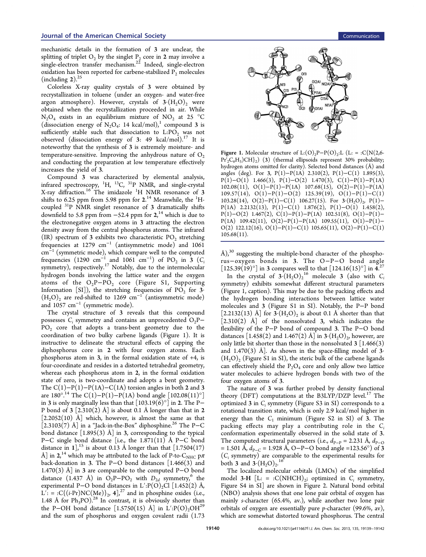mechanistic details in the formation of 3 are unclear, the splitting of triplet  $O_2$  by the singlet  $P_2$  core in 2 may involve a  $\sin$ gle-electron transfer mechanism.<sup>[22](#page-2-0)</sup> Indeed, single-electron oxidation has been reported for carbene-stabilized  $P<sub>2</sub>$  molecules (including  $2$ ).<sup>[25](#page-2-0)</sup>

Colorless X-ray quality crystals of 3 were obtained by recrystallization in toluene (under an oxygen- and water-free argon atmosphere). However, crystals of  $3 \cdot (H_2O)_2$  were obtained when the recrystallization proceeded in air. While  $N_2O_4$  exists in an equilibrium mixture of  $NO_2$  at 25 °C (dissociation energy of  $N_2O_4$ : [1](#page-2-0)4 kcal/mol),<sup>1</sup> compound 3 is sufficiently stable such that dissociation to  $L:PO<sub>2</sub>$  was not observed (dissociation energy of 3: 49 kcal/mol).<sup>[17](#page-2-0)</sup> It is noteworthy that the synthesis of 3 is extremely moisture- and temperature-sensitive. Improving the anhydrous nature of  $O_2$ and conducting the preparation at low temperature effectively increases the yield of 3.

Compound 3 was characterized by elemental analysis, infrared spectroscopy,  $^{1}H$ ,  $^{13}C$ ,  $^{31}P$  NMR, and single-crystal X-ray diffraction.<sup>[16](#page-2-0)</sup> The imidazole <sup>1</sup>H NMR resonance of 3 shifts to 6.25 ppm from 5.98 ppm for  $2.^{14}$  $2.^{14}$  $2.^{14}$  Meanwhile, the  $^1\mathrm{H}$ coupled 31P NMR singlet resonance of 3 dramatically shifts downfield to 5.8 ppm from  $-52.4$  ppm for  $2<sup>{14}</sup>$  $2<sup>{14}</sup>$  $2<sup>{14}</sup>$  which is due to the electronegative oxygen atoms in 3 attracting the electron density away from the central phosphorus atoms. The infrared (IR) spectrum of 3 exhibits two characteristic  $PO<sub>2</sub>$  stretching frequencies at 1279 cm<sup>−</sup><sup>1</sup> (antisymmetric mode) and 1061 cm<sup>−</sup><sup>1</sup> (symmetric mode), which compare well to the computed frequencies (1290 cm<sup>-1</sup> and 1061 cm<sup>-1</sup>) of PO<sub>2</sub> in 3 (C<sub>i</sub> symmetry), respectively.<sup>[17](#page-2-0)</sup> Notably, due to the intermolecular hydrogen bonds involving the lattice water and the oxygen atoms of the  $O_2P - PO_2$  core (Figure S1, [Supporting](#page-2-0) [Information](#page-2-0) [SI]), the stretching frequencies of  $PO<sub>2</sub>$  for 3·  $(H<sub>2</sub>O)<sub>2</sub>$  are red-shifted to 1269 cm<sup>-1</sup> (antisymmetric mode) and 1057 cm<sup>-1</sup> (symmetric mode).

The crystal structure of 3 reveals that this compound possesses  $C_i$  symmetry and contains an unprecedented  $O_2P PO<sub>2</sub>$  core that adopts a trans-bent geometry due to the coordination of two bulky carbene ligands (Figure 1). It is instructive to delineate the structural effects of capping the diphosphorus core in 2 with four oxygen atoms. Each phosphorus atom in 3, in the formal oxidation state of +4, is four-coordinate and resides in a distorted tetrahedral geometry, whereas each phosphorus atom in 2, in the formal oxidation state of zero, is two-coordinate and adopts a bent geometry. The  $C(1)-P(1)-P(1A)-C(1A)$  torsion angles in both 2 and 3 are  $180^{\circ}$ .<sup>[14](#page-2-0)</sup> The C(1)–P(1)–P(1A) bond angle  $[102.08(11)^{\circ}]$ in 3 is only marginally less than that  $[103.19(6)^\circ]$  in 2. The P– P bond of  $3$  [2.310(2) Å] is about 0.1 Å longer than that in 2  $[2.2052(10)$  Å which, however, is almost the same as that [2.3103(7) Å] in a "Jack-in-the-Box" diphosphine.<sup>[26](#page-2-0)</sup> The P–C bond distance  $[1.895(3)$  Å] in 3, corresponding to the typical P−C single bond distance [i.e., the 1.871(11) Å P−C bond distance in  $1$ ,<sup>[15](#page-2-0)</sup> is about 0.13 Å longer than that [1.7504(17) Å] in 2,<sup>[14](#page-2-0)</sup> which may be attributed to the lack of P-to-C<sub>NHC</sub> p $\pi$ back-donation in 3. The P−O bond distances [1.466(3) and 1.470(3) Å] in 3 are comparable to the computed P−O bond distance (1.437 Å) in  $O_2P$ -P $O_2$  with  $D_{2d}$  symmetry,<sup>[6](#page-2-0)</sup> the experimental P−O bond distances in L':P(O)<sub>2</sub>Cl [1.452(2) Å,  $L'$ : = :C{(*i*-Pr)NC(Me)}<sub>2</sub>, 4],<sup>[27](#page-2-0)</sup> and in phosphine oxides (i.e., 1.48 Å for  $Ph_3PO$ <sup>[28](#page-3-0)</sup> In contrast, it is obviously shorter than the P−OH bond distance [1.5750(15) Å] in L':P(O)<sub>2</sub>OH<sup>[29](#page-3-0)</sup> and the sum of phosphorus and oxygen covalent radii (1.73



Figure 1. Molecular structure of L: $(O)_{2}P-P(O)_{2}$ : L $(L: = C{N(2,6-1)}$  $\Pr{}_{2}^{i}C_{6}H_{3}$ )CH}<sub>2</sub>) (3) (thermal ellipsoids represent 30% probability; hydrogen atoms omitted for clarity). Selected bond distances (Å) and angles (deg). For 3, P(1)-P(1A) 2.310(2), P(1)-C(1) 1.895(3),  $P(1)-O(1)$  1.466(3),  $P(1)-O(2)$  1.470(3),  $C(1)-P(1)-P(1A)$ 102.08(11), O(1)−P(1)−P(1A) 107.68(15), O(2)−P(1)−P(1A) 109.57(14), O(1)−P(1)−O(2) 125.39(19), O(1)−P(1)−C(1) 103.28(14), O(2)-P(1)-C(1) 106.27(15). For 3  $(H<sub>2</sub>O)$ <sub>2</sub>, P(1)-P(1A) 2.2132(13), P(1)−C(1) 1.876(2), P(1)−O(1) 1.458(2), P(1)−O(2) 1.467(2), C(1)−P(1)−P(1A) 102.51(8), O(1)−P(1)− P(1A) 109.42(11),  $O(2)-P(1)-P(1A)$  109.55(11),  $O(1)-P(1)-P(1)$ O(2) 122.12(16), O(1)–P(1)–C(1) 105.65(11), O(2)–P(1)–C(1)  $105.68(11)$ .

Å), $30$  suggesting the multiple-bond character of the phosphorus−oxygen bonds in 3. The O−P−O bond angle  $[125.39(19)°]$  in 3 compares well to that  $[124.16(15)°]$  in  $4.^{27}$  $4.^{27}$  $4.^{27}$ 

In the crystal of  $3 \cdot (H_2O)_2^{16}$  $3 \cdot (H_2O)_2^{16}$  $3 \cdot (H_2O)_2^{16}$  molecule 3 (also with C symmetry) exhibits somewhat different structural parameters (Figure 1, caption). This may be due to the packing effects and the hydrogen bonding interactions between lattice water molecules and 3 (Figure S1 in [SI\)](#page-2-0). Notably, the P−P bond [2.2132(13) Å] for  $3 \cdot (H_2O)$  is about 0.1 Å shorter than that  $\begin{bmatrix} 2.310(2) \end{bmatrix}$  Å of the nonsolvated 3, which indicates the flexibility of the P−P bond of compound 3. The P−O bond distances [1.458(2) and 1.467(2) Å] in  $3 \cdot (H_2O)_2$ , however, are only little bit shorter than those in the nonsolvated  $3 \left[ 1.466(3) \right]$ and 1.470(3) Å]. As shown in the space-filling model of  $3$  $(H<sub>2</sub>O)$ , (Figure S1 in [SI\)](#page-2-0), the steric bulk of the carbene ligands can effectively shield the  $P_2O_4$  core and only allow two lattice water molecules to achieve hydrogen bonds with two of the four oxygen atoms of 3.

The nature of 3 was further probed by density functional theory (DFT) computations at the B3LYP/DZP level. $^{17}$  $^{17}$  $^{17}$  The optimized  $3$  in  $C_i$  symmetry (Figure S3 in [SI](#page-2-0)) corresponds to a rotational transition state, which is only 2.9 kcal/mol higher in energy than the  $C_1$  minimum (Figure S2 in [SI](#page-2-0)) of 3. The packing effects may play a contributing role in the  $C_i$ conformation experimentally observed in the solid state of 3. The computed structural parameters (i.e.,  $d_{\text{P-P}} = 2.231 \text{ Å}, d_{\text{P-O}}$ = 1.501 Å,  $d_{P-C}$  = 1.928 Å, O–P–O bond angle =123.56°) of 3  $(C<sub>i</sub>$  symmetry) are comparable to the experimental results for both 3 and  $3 \cdot (H_2O)_2$ .<sup>[16](#page-2-0)</sup>

The localized molecular orbitals (LMOs) of the simplified model 3-H  $[L: = :C(NHCH)_2;$  optimized in  $C_i$  symmetry, Figure S4 in [SI](#page-2-0)] are shown in Figure [2.](#page-2-0) Natural bond orbital (NBO) analysis shows that one lone pair orbital of oxygen has mainly s-character (65.4%, av.), while another two lone pair orbitals of oxygen are essentially pure p-character (99.6%, av), which are somewhat distorted toward phosphorus. The central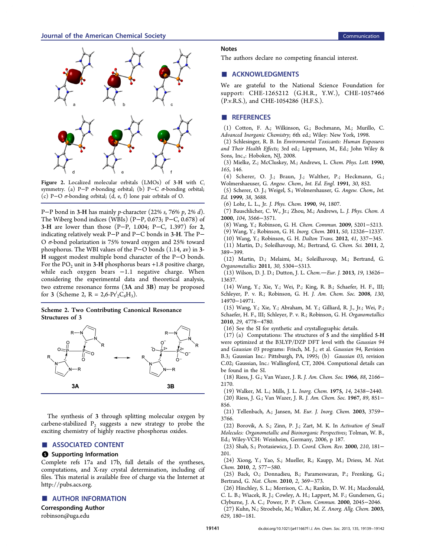<span id="page-2-0"></span>

Figure 2. Localized molecular orbitals (LMOs) of 3-H with  $C_i$ symmetry. (a) P-P σ-bonding orbital; (b) P-C σ-bonding orbital; (c) P−O σ-bonding orbital; (d, e, f) lone pair orbitals of O.

P−P bond in 3-H has mainly p-character (22% s, 76% p, 2% d). The Wiberg bond indices (WBIs) (P−P, 0.673; P−C, 0.678) of 3-H are lower than those (P−P, 1.004; P−C, 1.397) for 2, indicating relatively weak P−P and P−C bonds in 3-H. The P− O σ-bond polarization is 75% toward oxygen and 25% toward phosphorus. The WBI values of the P−O bonds (1.14, av) in 3- H suggest modest multiple bond character of the P−O bonds. For the  $PO_2$  unit in 3-H phosphorus bears +1.8 positive charge, while each oxygen bears -1.1 negative charge. When considering the experimental data and theoretical analysis, two extreme resonance forms (3A and 3B) may be proposed for 3 (Scheme 2, R = 2,6- $Pr_2^iC_6H_3$ ).

### Scheme 2. Two Contributing Canonical Resonance Structures of 3



The synthesis of 3 through splitting molecular oxygen by carbene-stabilized  $P_2$  suggests a new strategy to probe the exciting chemistry of highly reactive phosphorus oxides.

## ■ ASSOCIATED CONTENT

#### **6** Supporting Information

Complete refs 17a and 17b, full details of the syntheses, computations, and X-ray crystal determination, including cif files. This material is available free of charge via the Internet at <http://pubs.acs.org>.

## ■ AUTHOR INFORMATION

#### Corresponding Author

[robinson@uga.edu](mailto:robinson@uga.edu)

#### **Notes**

The authors declare no competing financial interest.

## ■ ACKNOWLEDGMENTS

We are grateful to the National Science Foundation for support: CHE-1265212 (G.H.R., Y.W.), CHE-1057466 (P.v.R.S.), and CHE-1054286 (H.F.S.).

## ■ REFERENCES

(1) Cotton, F. A.; Wilkinson, G.; Bochmann, M.; Murillo, C. Advanced Inorganic Chemistry; 6th ed.; Wiley: New York, 1998.

(2) Schlesinger, R. B. In Environmental Toxicants: Human Exposures and Their Health Effects; 3rd ed.; Lippmann, M., Ed.; John Wiley & Sons, Inc.,: Hoboken, NJ, 2008.

(3) Mielke, Z.; McCluskey, M.; Andrews, L. Chem. Phys. Lett. 1990, 165, 146.

(4) Scherer, O. J.; Braun, J.; Walther, P.; Heckmann, G.; Wolmershaeuser, G. Angew. Chem., Int. Ed. Engl. 1991, 30, 852.

(5) Scherer, O. J.; Weigel, S.; Wolmershauser, G. Angew. Chem., Int. Ed. 1999, 38, 3688.

(6) Lohr, L. L., Jr. J. Phys. Chem. 1990, 94, 1807.

(7) Bauschlicher, C. W., Jr.; Zhou, M.; Andrews, L. J. Phys. Chem. A 2000, 104, 3566−3571.

(8) Wang, Y.; Robinson, G. H. Chem. Commun. 2009, 5201−5213.

(9) Wang, Y.; Robinson, G. H. Inorg. Chem. 2011, 50, 12326−12337.

(10) Wang, Y.; Robinson, G. H. Dalton Trans. 2012, 41, 337−345.

(11) Martin, D.; Soleilhavoup, M.; Bertrand, G. Chem. Sci. 2011, 2, 389−399.

(12) Martin, D.; Melaimi, M.; Soleilhavoup, M.; Bertrand, G. Organometallics 2011, 30, 5304−5313.

(13) Wilson, D. J. D.; Dutton, J. L. Chem.-Eur. J. 2013, 19, 13626-13637.

(14) Wang, Y.; Xie, Y.; Wei, P.; King, R. B.; Schaefer, H. F., III; Schleyer, P. v. R.; Robinson, G. H. J. Am. Chem. Soc. 2008, 130, 14970−14971.

(15) Wang, Y.; Xie, Y.; Abraham, M. Y.; Gilliard, R. J., Jr.; Wei, P.; Schaefer, H. F., III; Schleyer, P. v. R.; Robinson, G. H. Organometallics 2010, 29, 4778−4780.

(16) See the SI for synthetic and crystallographic details.

(17) (a) Computations: The structures of 5 and the simplified 5-H were optimized at the B3LYP/DZP DFT level with the Gaussian 94 and Gaussian 03 programs: Frisch, M. J.; et al. Gaussian 94, Revision B.3; Gaussian Inc.: Pittsburgh, PA, 1995; (b) Gaussian 03, revision C.02; Gaussian, Inc.: Wallingford, CT, 2004. Computional details can be found in the SI.

(18) Riess, J. G.; Van Wazer, J. R. J. Am. Chem. Soc. 1966, 88, 2166− 2170.

(19) Walker, M. L.; Mills, J. L. Inorg. Chem. 1975, 14, 2438−2440.

(20) Riess, J. G.; Van Wazer, J. R. J. Am. Chem. Soc. 1967, 89, 851− 856.

(21) Tellenbach, A.; Jansen, M. Eur. J. Inorg. Chem. 2003, 3759− 3766.

(22) Borovik, A. S.; Zinn, P. J.; Zart, M. K. In Activation of Small Molecules: Organometallic and Bioinorganic Perspectives; Tolman, W. B., Ed.; Wiley-VCH: Weinheim, Germany, 2006, p 187.

(23) Shah, S.; Protasiewicz, J. D. Coord. Chem. Rev. 2000, 210, 181− 201.

(24) Xiong, Y.; Yao, S.; Mueller, R.; Kaupp, M.; Driess, M. Nat. Chem. 2010, 2, 577−580.

(25) Back, O.; Donnadieu, B.; Parameswaran, P.; Frenking, G.; Bertrand, G. Nat. Chem. 2010, 2, 369−373.

(26) Hinchley, S. L.; Morrison, C. A.; Rankin, D. W. H.; Macdonald, C. L. B.; Wiacek, R. J.; Cowley, A. H.; Lappert, M. F.; Gundersen, G.;

Clyburne, J. A. C.; Power, P. P. Chem. Commun. 2000, 2045−2046.

(27) Kuhn, N.; Stroebele, M.; Walker, M. Z. Anorg. Allg. Chem. 2003, 629, 180−181.